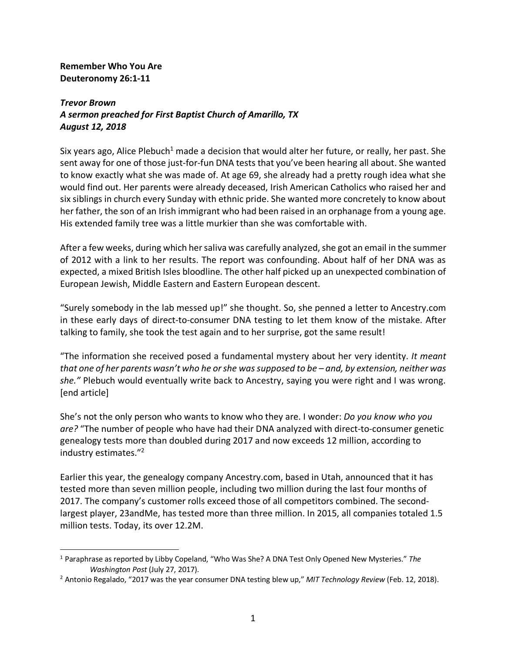## **Remember Who You Are Deuteronomy 26:1-11**

<u>.</u>

## *Trevor Brown A sermon preached for First Baptist Church of Amarillo, TX August 12, 2018*

Six years ago, Alice Plebuch<sup>1</sup> made a decision that would alter her future, or really, her past. She sent away for one of those just-for-fun DNA tests that you've been hearing all about. She wanted to know exactly what she was made of. At age 69, she already had a pretty rough idea what she would find out. Her parents were already deceased, Irish American Catholics who raised her and six siblings in church every Sunday with ethnic pride. She wanted more concretely to know about her father, the son of an Irish immigrant who had been raised in an orphanage from a young age. His extended family tree was a little murkier than she was comfortable with.

After a few weeks, during which her saliva was carefully analyzed, she got an email in the summer of 2012 with a link to her results. The report was confounding. About half of her DNA was as expected, a mixed British Isles bloodline. The other half picked up an unexpected combination of European Jewish, Middle Eastern and Eastern European descent.

"Surely somebody in the lab messed up!" she thought. So, she penned a letter to Ancestry.com in these early days of direct-to-consumer DNA testing to let them know of the mistake. After talking to family, she took the test again and to her surprise, got the same result!

"The information she received posed a fundamental mystery about her very identity. *It meant that one of her parents wasn't who he or she was supposed to be – and, by extension, neither was she."* Plebuch would eventually write back to Ancestry, saying you were right and I was wrong. [end article]

She's not the only person who wants to know who they are. I wonder: *Do you know who you are?* "The number of people who have had their DNA analyzed with direct-to-consumer genetic genealogy tests more than doubled during 2017 and now exceeds 12 million, according to industry estimates."2

Earlier this year, the genealogy company Ancestry.com, based in Utah, announced that it has tested more than seven million people, including two million during the last four months of 2017. The company's customer rolls exceed those of all competitors combined. The secondlargest player, 23andMe, has tested more than three million. In 2015, all companies totaled 1.5 million tests. Today, its over 12.2M.

<sup>1</sup> Paraphrase as reported by Libby Copeland, "Who Was She? A DNA Test Only Opened New Mysteries." *The Washington Post* (July 27, 2017).

<sup>2</sup> Antonio Regalado, "2017 was the year consumer DNA testing blew up," *MIT Technology Review* (Feb. 12, 2018).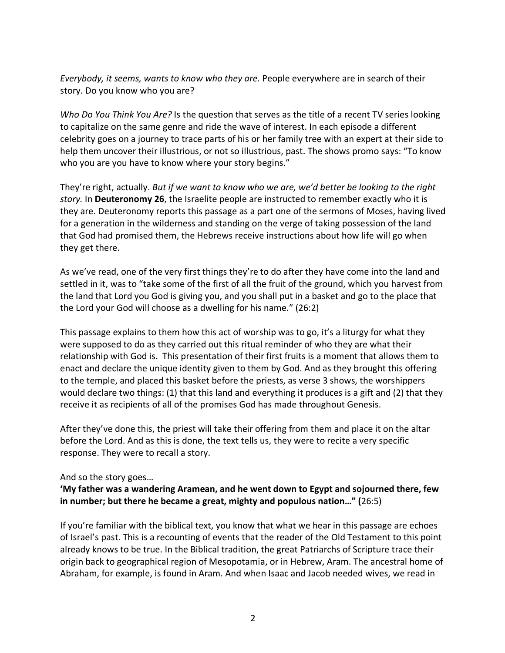*Everybody, it seems, wants to know who they are.* People everywhere are in search of their story. Do you know who you are?

*Who Do You Think You Are?* Is the question that serves as the title of a recent TV series looking to capitalize on the same genre and ride the wave of interest. In each episode a different celebrity goes on a journey to trace parts of his or her family tree with an expert at their side to help them uncover their illustrious, or not so illustrious, past. The shows promo says: "To know who you are you have to know where your story begins."

They're right, actually. *But if we want to know who we are, we'd better be looking to the right story.* In **Deuteronomy 26**, the Israelite people are instructed to remember exactly who it is they are. Deuteronomy reports this passage as a part one of the sermons of Moses, having lived for a generation in the wilderness and standing on the verge of taking possession of the land that God had promised them, the Hebrews receive instructions about how life will go when they get there.

As we've read, one of the very first things they're to do after they have come into the land and settled in it, was to "take some of the first of all the fruit of the ground, which you harvest from the land that Lord you God is giving you, and you shall put in a basket and go to the place that the Lord your God will choose as a dwelling for his name." (26:2)

This passage explains to them how this act of worship was to go, it's a liturgy for what they were supposed to do as they carried out this ritual reminder of who they are what their relationship with God is. This presentation of their first fruits is a moment that allows them to enact and declare the unique identity given to them by God. And as they brought this offering to the temple, and placed this basket before the priests, as verse 3 shows, the worshippers would declare two things: (1) that this land and everything it produces is a gift and (2) that they receive it as recipients of all of the promises God has made throughout Genesis.

After they've done this, the priest will take their offering from them and place it on the altar before the Lord. And as this is done, the text tells us, they were to recite a very specific response. They were to recall a story.

And so the story goes…

## **'My father was a wandering Aramean, and he went down to Egypt and sojourned there, few in number; but there he became a great, mighty and populous nation…" (**26:5)

If you're familiar with the biblical text, you know that what we hear in this passage are echoes of Israel's past. This is a recounting of events that the reader of the Old Testament to this point already knows to be true. In the Biblical tradition, the great Patriarchs of Scripture trace their origin back to geographical region of Mesopotamia, or in Hebrew, Aram. The ancestral home of Abraham, for example, is found in Aram. And when Isaac and Jacob needed wives, we read in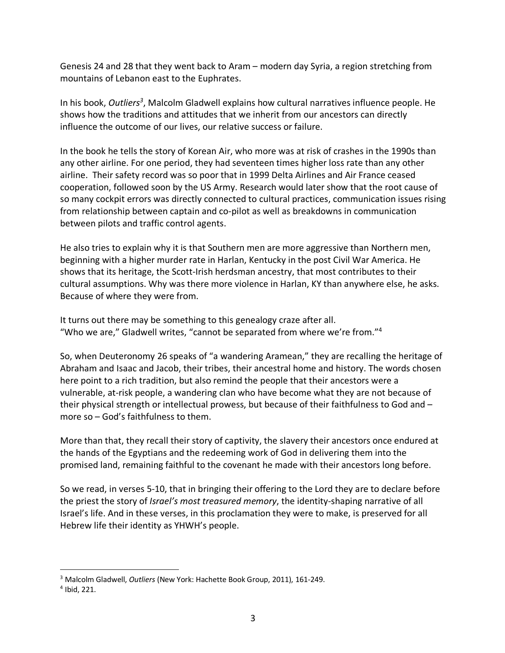Genesis 24 and 28 that they went back to Aram – modern day Syria, a region stretching from mountains of Lebanon east to the Euphrates.

In his book, Outliers<sup>3</sup>, Malcolm Gladwell explains how cultural narratives influence people. He shows how the traditions and attitudes that we inherit from our ancestors can directly influence the outcome of our lives, our relative success or failure.

In the book he tells the story of Korean Air, who more was at risk of crashes in the 1990s than any other airline. For one period, they had seventeen times higher loss rate than any other airline. Their safety record was so poor that in 1999 Delta Airlines and Air France ceased cooperation, followed soon by the US Army. Research would later show that the root cause of so many cockpit errors was directly connected to cultural practices, communication issues rising from relationship between captain and co-pilot as well as breakdowns in communication between pilots and traffic control agents.

He also tries to explain why it is that Southern men are more aggressive than Northern men, beginning with a higher murder rate in Harlan, Kentucky in the post Civil War America. He shows that its heritage, the Scott-Irish herdsman ancestry, that most contributes to their cultural assumptions. Why was there more violence in Harlan, KY than anywhere else, he asks. Because of where they were from.

It turns out there may be something to this genealogy craze after all. "Who we are," Gladwell writes, "cannot be separated from where we're from."4

So, when Deuteronomy 26 speaks of "a wandering Aramean," they are recalling the heritage of Abraham and Isaac and Jacob, their tribes, their ancestral home and history. The words chosen here point to a rich tradition, but also remind the people that their ancestors were a vulnerable, at-risk people, a wandering clan who have become what they are not because of their physical strength or intellectual prowess, but because of their faithfulness to God and – more so – God's faithfulness to them.

More than that, they recall their story of captivity, the slavery their ancestors once endured at the hands of the Egyptians and the redeeming work of God in delivering them into the promised land, remaining faithful to the covenant he made with their ancestors long before.

So we read, in verses 5-10, that in bringing their offering to the Lord they are to declare before the priest the story of *Israel's most treasured memory*, the identity-shaping narrative of all Israel's life. And in these verses, in this proclamation they were to make, is preserved for all Hebrew life their identity as YHWH's people.

1

<sup>3</sup> Malcolm Gladwell, *Outliers* (New York: Hachette Book Group, 2011), 161-249.

<sup>4</sup> Ibid, 221.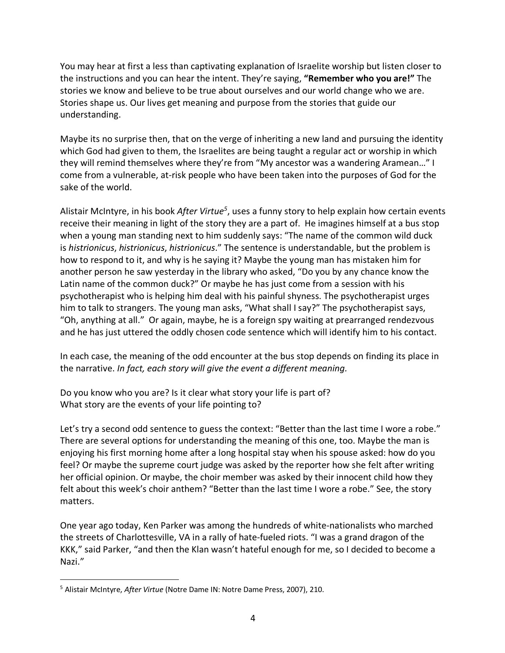You may hear at first a less than captivating explanation of Israelite worship but listen closer to the instructions and you can hear the intent. They're saying, **"Remember who you are!"** The stories we know and believe to be true about ourselves and our world change who we are. Stories shape us. Our lives get meaning and purpose from the stories that guide our understanding.

Maybe its no surprise then, that on the verge of inheriting a new land and pursuing the identity which God had given to them, the Israelites are being taught a regular act or worship in which they will remind themselves where they're from "My ancestor was a wandering Aramean…" I come from a vulnerable, at-risk people who have been taken into the purposes of God for the sake of the world.

Alistair McIntyre, in his book After Virtue<sup>5</sup>, uses a funny story to help explain how certain events receive their meaning in light of the story they are a part of. He imagines himself at a bus stop when a young man standing next to him suddenly says: "The name of the common wild duck is *histrionicus*, *histrionicus*, *histrionicus*." The sentence is understandable, but the problem is how to respond to it, and why is he saying it? Maybe the young man has mistaken him for another person he saw yesterday in the library who asked, "Do you by any chance know the Latin name of the common duck?" Or maybe he has just come from a session with his psychotherapist who is helping him deal with his painful shyness. The psychotherapist urges him to talk to strangers. The young man asks, "What shall I say?" The psychotherapist says, "Oh, anything at all." Or again, maybe, he is a foreign spy waiting at prearranged rendezvous and he has just uttered the oddly chosen code sentence which will identify him to his contact.

In each case, the meaning of the odd encounter at the bus stop depends on finding its place in the narrative. *In fact, each story will give the event a different meaning.*

Do you know who you are? Is it clear what story your life is part of? What story are the events of your life pointing to?

Let's try a second odd sentence to guess the context: "Better than the last time I wore a robe." There are several options for understanding the meaning of this one, too. Maybe the man is enjoying his first morning home after a long hospital stay when his spouse asked: how do you feel? Or maybe the supreme court judge was asked by the reporter how she felt after writing her official opinion. Or maybe, the choir member was asked by their innocent child how they felt about this week's choir anthem? "Better than the last time I wore a robe." See, the story matters.

One year ago today, Ken Parker was among the hundreds of white-nationalists who marched the streets of Charlottesville, VA in a rally of hate-fueled riots. "I was a grand dragon of the KKK," said Parker, "and then the Klan wasn't hateful enough for me, so I decided to become a Nazi."

<u>.</u>

<sup>5</sup> Alistair McIntyre, *After Virtue* (Notre Dame IN: Notre Dame Press, 2007), 210.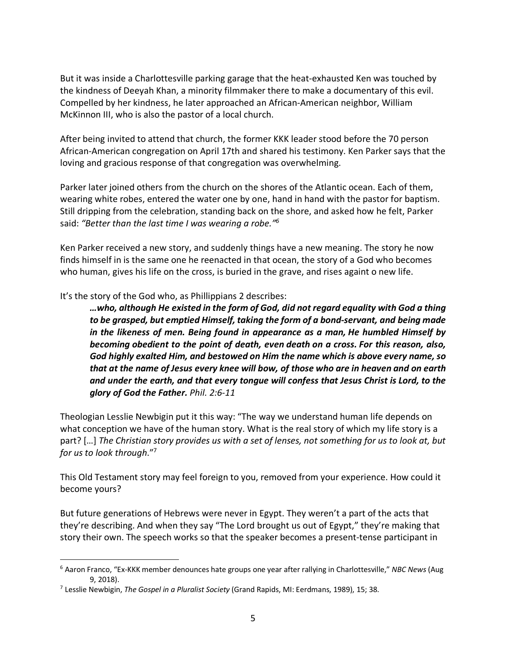But it was inside a Charlottesville parking garage that the heat-exhausted Ken was touched by the kindness of Deeyah Khan, a minority filmmaker there to make a documentary of this evil. Compelled by her kindness, he later approached an African-American neighbor, William McKinnon III, who is also the pastor of a local church.

After being invited to attend that church, the former KKK leader stood before the 70 person African-American congregation on April 17th and shared his testimony. Ken Parker says that the loving and gracious response of that congregation was overwhelming.

Parker later joined others from the church on the shores of the Atlantic ocean. Each of them, wearing white robes, entered the water one by one, hand in hand with the pastor for baptism. Still dripping from the celebration, standing back on the shore, and asked how he felt, Parker said: *"Better than the last time I was wearing a robe."6*

Ken Parker received a new story, and suddenly things have a new meaning. The story he now finds himself in is the same one he reenacted in that ocean, the story of a God who becomes who human, gives his life on the cross, is buried in the grave, and rises againt o new life.

It's the story of the God who, as Phillippians 2 describes:

*…who, although He existed in the form of God, did not regard equality with God a thing to be grasped, but emptied Himself, taking the form of a bond-servant, and being made in the likeness of men. Being found in appearance as a man, He humbled Himself by becoming obedient to the point of death, even death on a cross. For this reason, also, God highly exalted Him, and bestowed on Him the name which is above every name, so that at the name of Jesus every knee will bow, of those who are in heaven and on earth and under the earth, and that every tongue will confess that Jesus Christ is Lord, to the glory of God the Father. Phil. 2:6-11*

Theologian Lesslie Newbigin put it this way: "The way we understand human life depends on what conception we have of the human story. What is the real story of which my life story is a part? […] *The Christian story provides us with a set of lenses, not something for us to look at, but for us to look through*."7

This Old Testament story may feel foreign to you, removed from your experience. How could it become yours?

But future generations of Hebrews were never in Egypt. They weren't a part of the acts that they're describing. And when they say "The Lord brought us out of Egypt," they're making that story their own. The speech works so that the speaker becomes a present-tense participant in

1

<sup>6</sup> Aaron Franco, "Ex-KKK member denounces hate groups one year after rallying in Charlottesville," *NBC News* (Aug 9, 2018).

<sup>7</sup> Lesslie Newbigin, *The Gospel in a Pluralist Society* (Grand Rapids, MI: Eerdmans, 1989), 15; 38.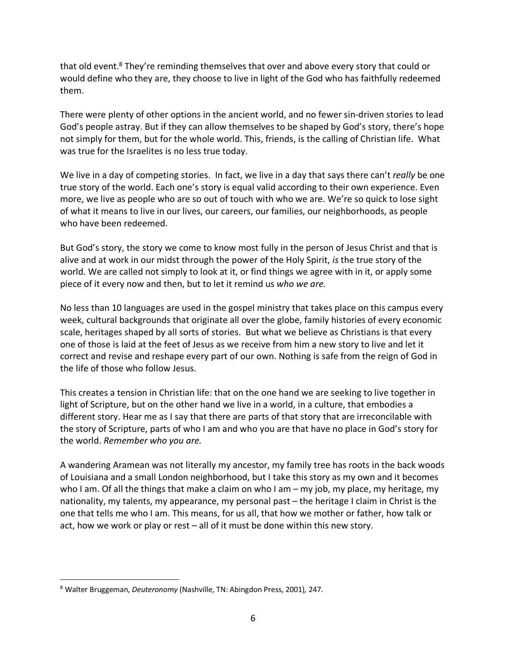that old event.<sup>8</sup> They're reminding themselves that over and above every story that could or would define who they are, they choose to live in light of the God who has faithfully redeemed them.

There were plenty of other options in the ancient world, and no fewer sin-driven stories to lead God's people astray. But if they can allow themselves to be shaped by God's story, there's hope not simply for them, but for the whole world. This, friends, is the calling of Christian life. What was true for the Israelites is no less true today.

We live in a day of competing stories. In fact, we live in a day that says there can't *really* be one true story of the world. Each one's story is equal valid according to their own experience. Even more, we live as people who are so out of touch with who we are. We're so quick to lose sight of what it means to live in our lives, our careers, our families, our neighborhoods, as people who have been redeemed.

But God's story, the story we come to know most fully in the person of Jesus Christ and that is alive and at work in our midst through the power of the Holy Spirit, *is* the true story of the world. We are called not simply to look at it, or find things we agree with in it, or apply some piece of it every now and then, but to let it remind us *who we are.*

No less than 10 languages are used in the gospel ministry that takes place on this campus every week, cultural backgrounds that originate all over the globe, family histories of every economic scale, heritages shaped by all sorts of stories. But what we believe as Christians is that every one of those is laid at the feet of Jesus as we receive from him a new story to live and let it correct and revise and reshape every part of our own. Nothing is safe from the reign of God in the life of those who follow Jesus.

This creates a tension in Christian life: that on the one hand we are seeking to live together in light of Scripture, but on the other hand we live in a world, in a culture, that embodies a different story. Hear me as I say that there are parts of that story that are irreconcilable with the story of Scripture, parts of who I am and who you are that have no place in God's story for the world. *Remember who you are.*

A wandering Aramean was not literally my ancestor, my family tree has roots in the back woods of Louisiana and a small London neighborhood, but I take this story as my own and it becomes who I am. Of all the things that make a claim on who I am – my job, my place, my heritage, my nationality, my talents, my appearance, my personal past – the heritage I claim in Christ is the one that tells me who I am. This means, for us all, that how we mother or father, how talk or act, how we work or play or rest – all of it must be done within this new story.

<u>.</u>

<sup>8</sup> Walter Bruggeman, *Deuteronomy* (Nashville, TN: Abingdon Press, 2001)*,* 247.